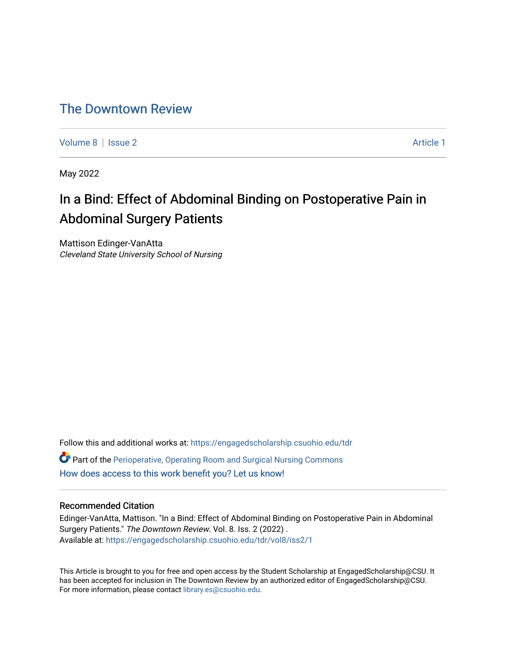# [The Downtown Review](https://engagedscholarship.csuohio.edu/tdr)

[Volume 8](https://engagedscholarship.csuohio.edu/tdr/vol8) | [Issue 2](https://engagedscholarship.csuohio.edu/tdr/vol8/iss2) Article 1

May 2022

# In a Bind: Effect of Abdominal Binding on Postoperative Pain in Abdominal Surgery Patients

Mattison Edinger-VanAtta Cleveland State University School of Nursing

Follow this and additional works at: [https://engagedscholarship.csuohio.edu/tdr](https://engagedscholarship.csuohio.edu/tdr?utm_source=engagedscholarship.csuohio.edu%2Ftdr%2Fvol8%2Fiss2%2F1&utm_medium=PDF&utm_campaign=PDFCoverPages)   $\bullet$  Part of the [Perioperative, Operating Room and Surgical Nursing Commons](http://network.bepress.com/hgg/discipline/726?utm_source=engagedscholarship.csuohio.edu%2Ftdr%2Fvol8%2Fiss2%2F1&utm_medium=PDF&utm_campaign=PDFCoverPages) [How does access to this work benefit you? Let us know!](http://library.csuohio.edu/engaged/)

# Recommended Citation

Edinger-VanAtta, Mattison. "In a Bind: Effect of Abdominal Binding on Postoperative Pain in Abdominal Surgery Patients." The Downtown Review. Vol. 8. Iss. 2 (2022) . Available at: [https://engagedscholarship.csuohio.edu/tdr/vol8/iss2/1](https://engagedscholarship.csuohio.edu/tdr/vol8/iss2/1?utm_source=engagedscholarship.csuohio.edu%2Ftdr%2Fvol8%2Fiss2%2F1&utm_medium=PDF&utm_campaign=PDFCoverPages) 

This Article is brought to you for free and open access by the Student Scholarship at EngagedScholarship@CSU. It has been accepted for inclusion in The Downtown Review by an authorized editor of EngagedScholarship@CSU. For more information, please contact [library.es@csuohio.edu.](mailto:library.es@csuohio.edu)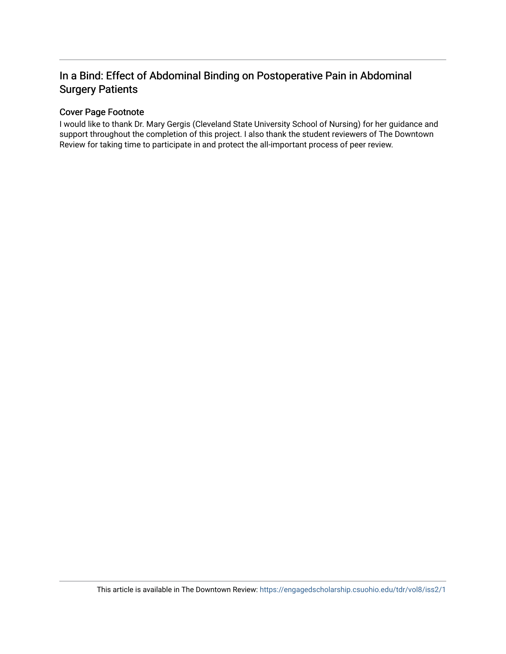# In a Bind: Effect of Abdominal Binding on Postoperative Pain in Abdominal Surgery Patients

# Cover Page Footnote

I would like to thank Dr. Mary Gergis (Cleveland State University School of Nursing) for her guidance and support throughout the completion of this project. I also thank the student reviewers of The Downtown Review for taking time to participate in and protect the all-important process of peer review.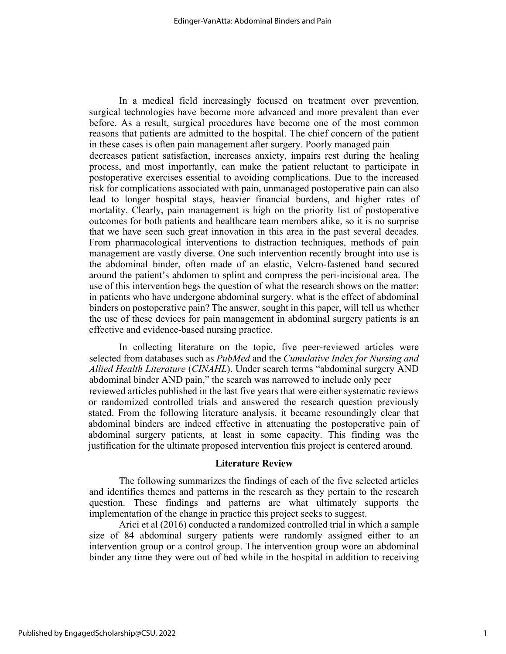In a medical field increasingly focused on treatment over prevention, surgical technologies have become more advanced and more prevalent than ever before. As a result, surgical procedures have become one of the most common reasons that patients are admitted to the hospital. The chief concern of the patient in these cases is often pain management after surgery. Poorly managed pain decreases patient satisfaction, increases anxiety, impairs rest during the healing process, and most importantly, can make the patient reluctant to participate in postoperative exercises essential to avoiding complications. Due to the increased risk for complications associated with pain, unmanaged postoperative pain can also lead to longer hospital stays, heavier financial burdens, and higher rates of mortality. Clearly, pain management is high on the priority list of postoperative outcomes for both patients and healthcare team members alike, so it is no surprise that we have seen such great innovation in this area in the past several decades. From pharmacological interventions to distraction techniques, methods of pain management are vastly diverse. One such intervention recently brought into use is the abdominal binder, often made of an elastic, Velcro-fastened band secured around the patient's abdomen to splint and compress the peri-incisional area. The use of this intervention begs the question of what the research shows on the matter: in patients who have undergone abdominal surgery, what is the effect of abdominal binders on postoperative pain? The answer, sought in this paper, will tell us whether the use of these devices for pain management in abdominal surgery patients is an effective and evidence-based nursing practice.

In collecting literature on the topic, five peer-reviewed articles were selected from databases such as *PubMed* and the *Cumulative Index for Nursing and Allied Health Literature* (*CINAHL*). Under search terms "abdominal surgery AND abdominal binder AND pain," the search was narrowed to include only peer reviewed articles published in the last five years that were either systematic reviews or randomized controlled trials and answered the research question previously stated. From the following literature analysis, it became resoundingly clear that abdominal binders are indeed effective in attenuating the postoperative pain of abdominal surgery patients, at least in some capacity. This finding was the justification for the ultimate proposed intervention this project is centered around.

## **Literature Review**

The following summarizes the findings of each of the five selected articles and identifies themes and patterns in the research as they pertain to the research question. These findings and patterns are what ultimately supports the implementation of the change in practice this project seeks to suggest.

Arici et al (2016) conducted a randomized controlled trial in which a sample size of 84 abdominal surgery patients were randomly assigned either to an intervention group or a control group. The intervention group wore an abdominal binder any time they were out of bed while in the hospital in addition to receiving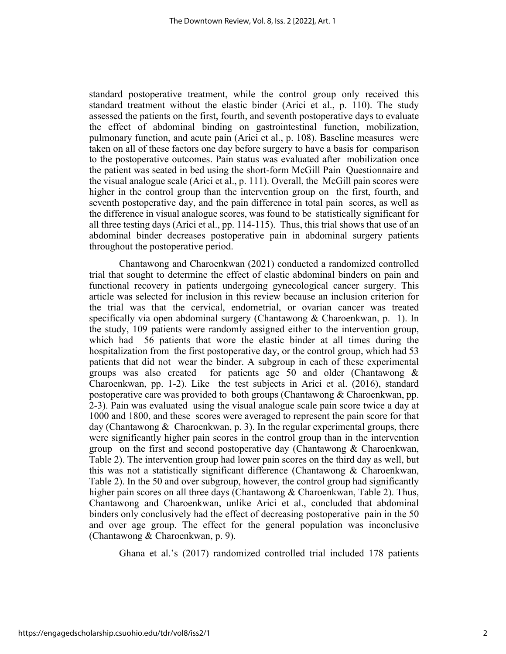standard postoperative treatment, while the control group only received this standard treatment without the elastic binder (Arici et al., p. 110). The study assessed the patients on the first, fourth, and seventh postoperative days to evaluate the effect of abdominal binding on gastrointestinal function, mobilization, pulmonary function, and acute pain (Arici et al., p. 108). Baseline measures were taken on all of these factors one day before surgery to have a basis for comparison to the postoperative outcomes. Pain status was evaluated after mobilization once the patient was seated in bed using the short-form McGill Pain Questionnaire and the visual analogue scale (Arici et al., p. 111). Overall, the McGill pain scores were higher in the control group than the intervention group on the first, fourth, and seventh postoperative day, and the pain difference in total pain scores, as well as the difference in visual analogue scores, was found to be statistically significant for all three testing days (Arici et al., pp. 114-115). Thus, this trial shows that use of an abdominal binder decreases postoperative pain in abdominal surgery patients throughout the postoperative period.

Chantawong and Charoenkwan (2021) conducted a randomized controlled trial that sought to determine the effect of elastic abdominal binders on pain and functional recovery in patients undergoing gynecological cancer surgery. This article was selected for inclusion in this review because an inclusion criterion for the trial was that the cervical, endometrial, or ovarian cancer was treated specifically via open abdominal surgery (Chantawong & Charoenkwan, p. 1). In the study, 109 patients were randomly assigned either to the intervention group, which had 56 patients that wore the elastic binder at all times during the hospitalization from the first postoperative day, or the control group, which had 53 patients that did not wear the binder. A subgroup in each of these experimental groups was also created for patients age 50 and older (Chantawong & Charoenkwan, pp. 1-2). Like the test subjects in Arici et al. (2016), standard postoperative care was provided to both groups (Chantawong & Charoenkwan, pp. 2-3). Pain was evaluated using the visual analogue scale pain score twice a day at 1000 and 1800, and these scores were averaged to represent the pain score for that day (Chantawong  $&$  Charoenkwan, p. 3). In the regular experimental groups, there were significantly higher pain scores in the control group than in the intervention group on the first and second postoperative day (Chantawong  $&$  Charoenkwan, Table 2). The intervention group had lower pain scores on the third day as well, but this was not a statistically significant difference (Chantawong  $\&$  Charoenkwan, Table 2). In the 50 and over subgroup, however, the control group had significantly higher pain scores on all three days (Chantawong & Charoenkwan, Table 2). Thus, Chantawong and Charoenkwan, unlike Arici et al., concluded that abdominal binders only conclusively had the effect of decreasing postoperative pain in the 50 and over age group. The effect for the general population was inconclusive (Chantawong & Charoenkwan, p. 9).

Ghana et al.'s (2017) randomized controlled trial included 178 patients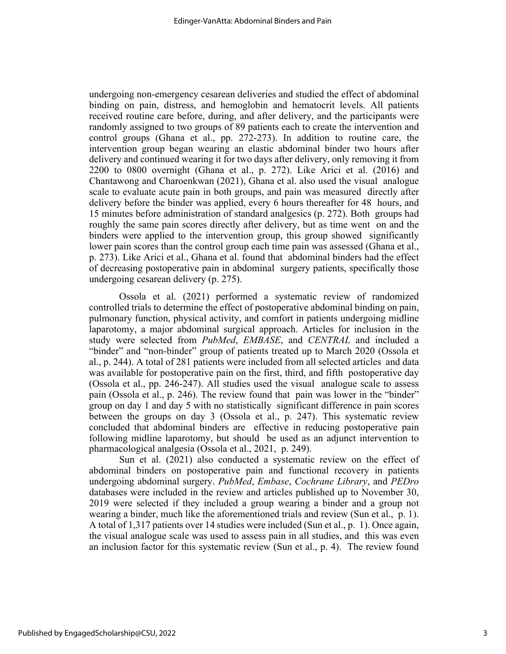undergoing non-emergency cesarean deliveries and studied the effect of abdominal binding on pain, distress, and hemoglobin and hematocrit levels. All patients received routine care before, during, and after delivery, and the participants were randomly assigned to two groups of 89 patients each to create the intervention and control groups (Ghana et al., pp. 272-273). In addition to routine care, the intervention group began wearing an elastic abdominal binder two hours after delivery and continued wearing it for two days after delivery, only removing it from 2200 to 0800 overnight (Ghana et al., p. 272). Like Arici et al. (2016) and Chantawong and Charoenkwan (2021), Ghana et al. also used the visual analogue scale to evaluate acute pain in both groups, and pain was measured directly after delivery before the binder was applied, every 6 hours thereafter for 48 hours, and 15 minutes before administration of standard analgesics (p. 272). Both groups had roughly the same pain scores directly after delivery, but as time went on and the binders were applied to the intervention group, this group showed significantly lower pain scores than the control group each time pain was assessed (Ghana et al., p. 273). Like Arici et al., Ghana et al. found that abdominal binders had the effect of decreasing postoperative pain in abdominal surgery patients, specifically those undergoing cesarean delivery (p. 275).

Ossola et al. (2021) performed a systematic review of randomized controlled trials to determine the effect of postoperative abdominal binding on pain, pulmonary function, physical activity, and comfort in patients undergoing midline laparotomy, a major abdominal surgical approach. Articles for inclusion in the study were selected from *PubMed*, *EMBASE*, and *CENTRAL* and included a "binder" and "non-binder" group of patients treated up to March 2020 (Ossola et al., p. 244). A total of 281 patients were included from all selected articles and data was available for postoperative pain on the first, third, and fifth postoperative day (Ossola et al., pp. 246-247). All studies used the visual analogue scale to assess pain (Ossola et al., p. 246). The review found that pain was lower in the "binder" group on day 1 and day 5 with no statistically significant difference in pain scores between the groups on day 3 (Ossola et al., p. 247). This systematic review concluded that abdominal binders are effective in reducing postoperative pain following midline laparotomy, but should be used as an adjunct intervention to pharmacological analgesia (Ossola et al., 2021, p. 249).

Sun et al. (2021) also conducted a systematic review on the effect of abdominal binders on postoperative pain and functional recovery in patients undergoing abdominal surgery. *PubMed*, *Embase*, *Cochrane Library*, and *PEDro*  databases were included in the review and articles published up to November 30, 2019 were selected if they included a group wearing a binder and a group not wearing a binder, much like the aforementioned trials and review (Sun et al., p. 1). A total of 1,317 patients over 14 studies were included (Sun et al., p. 1). Once again, the visual analogue scale was used to assess pain in all studies, and this was even an inclusion factor for this systematic review (Sun et al., p. 4). The review found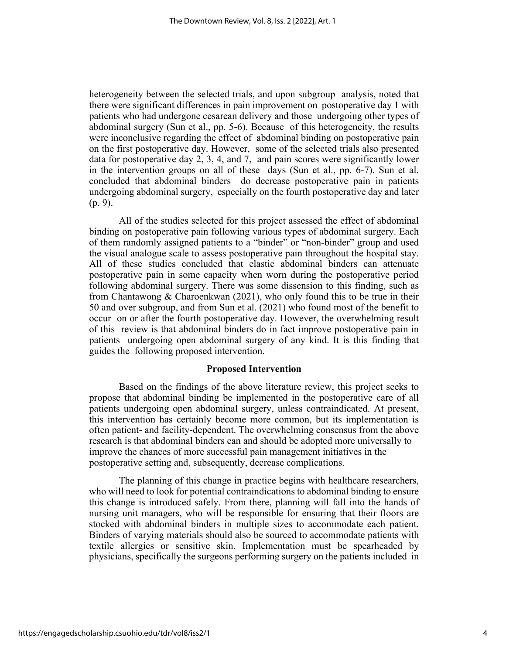heterogeneity between the selected trials, and upon subgroup analysis, noted that there were significant differences in pain improvement on postoperative day 1 with patients who had undergone cesarean delivery and those undergoing other types of abdominal surgery (Sun et al., pp. 5-6). Because of this heterogeneity, the results were inconclusive regarding the effect of abdominal binding on postoperative pain on the first postoperative day. However, some of the selected trials also presented data for postoperative day 2, 3, 4, and 7, and pain scores were significantly lower in the intervention groups on all of these days (Sun et al., pp. 6-7). Sun et al. concluded that abdominal binders do decrease postoperative pain in patients undergoing abdominal surgery, especially on the fourth postoperative day and later (p. 9).

All of the studies selected for this project assessed the effect of abdominal binding on postoperative pain following various types of abdominal surgery. Each of them randomly assigned patients to a "binder" or "non-binder" group and used the visual analogue scale to assess postoperative pain throughout the hospital stay. All of these studies concluded that elastic abdominal binders can attenuate postoperative pain in some capacity when worn during the postoperative period following abdominal surgery. There was some dissension to this finding, such as from Chantawong & Charoenkwan (2021), who only found this to be true in their 50 and over subgroup, and from Sun et al. (2021) who found most of the benefit to occur on or after the fourth postoperative day. However, the overwhelming result of this review is that abdominal binders do in fact improve postoperative pain in patients undergoing open abdominal surgery of any kind. It is this finding that guides the following proposed intervention.

## **Proposed Intervention**

Based on the findings of the above literature review, this project seeks to propose that abdominal binding be implemented in the postoperative care of all patients undergoing open abdominal surgery, unless contraindicated. At present, this intervention has certainly become more common, but its implementation is often patient- and facility-dependent. The overwhelming consensus from the above research is that abdominal binders can and should be adopted more universally to improve the chances of more successful pain management initiatives in the postoperative setting and, subsequently, decrease complications.

The planning of this change in practice begins with healthcare researchers, who will need to look for potential contraindications to abdominal binding to ensure this change is introduced safely. From there, planning will fall into the hands of nursing unit managers, who will be responsible for ensuring that their floors are stocked with abdominal binders in multiple sizes to accommodate each patient. Binders of varying materials should also be sourced to accommodate patients with textile allergies or sensitive skin. Implementation must be spearheaded by physicians, specifically the surgeons performing surgery on the patients included in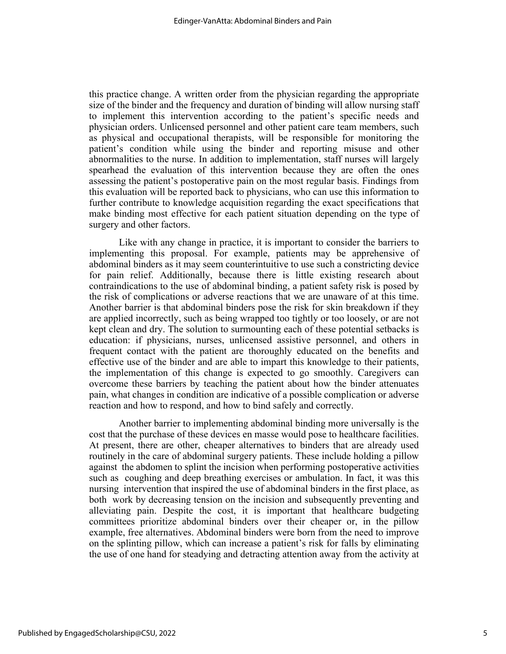this practice change. A written order from the physician regarding the appropriate size of the binder and the frequency and duration of binding will allow nursing staff to implement this intervention according to the patient's specific needs and physician orders. Unlicensed personnel and other patient care team members, such as physical and occupational therapists, will be responsible for monitoring the patient's condition while using the binder and reporting misuse and other abnormalities to the nurse. In addition to implementation, staff nurses will largely spearhead the evaluation of this intervention because they are often the ones assessing the patient's postoperative pain on the most regular basis. Findings from this evaluation will be reported back to physicians, who can use this information to further contribute to knowledge acquisition regarding the exact specifications that make binding most effective for each patient situation depending on the type of surgery and other factors.

Like with any change in practice, it is important to consider the barriers to implementing this proposal. For example, patients may be apprehensive of abdominal binders as it may seem counterintuitive to use such a constricting device for pain relief. Additionally, because there is little existing research about contraindications to the use of abdominal binding, a patient safety risk is posed by the risk of complications or adverse reactions that we are unaware of at this time. Another barrier is that abdominal binders pose the risk for skin breakdown if they are applied incorrectly, such as being wrapped too tightly or too loosely, or are not kept clean and dry. The solution to surmounting each of these potential setbacks is education: if physicians, nurses, unlicensed assistive personnel, and others in frequent contact with the patient are thoroughly educated on the benefits and effective use of the binder and are able to impart this knowledge to their patients, the implementation of this change is expected to go smoothly. Caregivers can overcome these barriers by teaching the patient about how the binder attenuates pain, what changes in condition are indicative of a possible complication or adverse reaction and how to respond, and how to bind safely and correctly.

Another barrier to implementing abdominal binding more universally is the cost that the purchase of these devices en masse would pose to healthcare facilities. At present, there are other, cheaper alternatives to binders that are already used routinely in the care of abdominal surgery patients. These include holding a pillow against the abdomen to splint the incision when performing postoperative activities such as coughing and deep breathing exercises or ambulation. In fact, it was this nursing intervention that inspired the use of abdominal binders in the first place, as both work by decreasing tension on the incision and subsequently preventing and alleviating pain. Despite the cost, it is important that healthcare budgeting committees prioritize abdominal binders over their cheaper or, in the pillow example, free alternatives. Abdominal binders were born from the need to improve on the splinting pillow, which can increase a patient's risk for falls by eliminating the use of one hand for steadying and detracting attention away from the activity at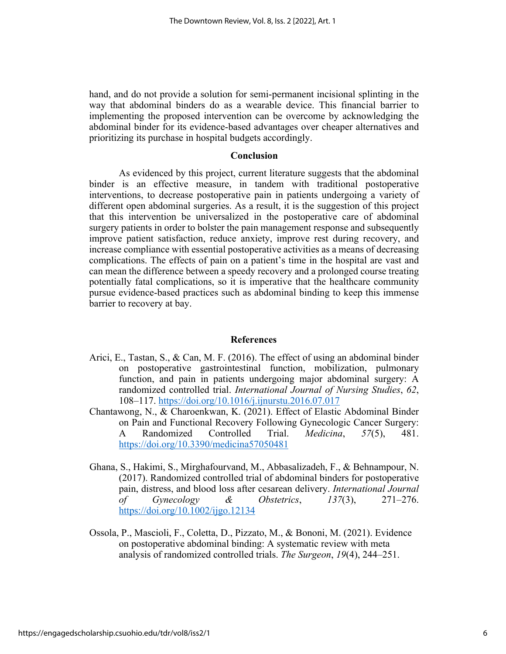hand, and do not provide a solution for semi-permanent incisional splinting in the way that abdominal binders do as a wearable device. This financial barrier to implementing the proposed intervention can be overcome by acknowledging the abdominal binder for its evidence-based advantages over cheaper alternatives and prioritizing its purchase in hospital budgets accordingly.

## **Conclusion**

As evidenced by this project, current literature suggests that the abdominal binder is an effective measure, in tandem with traditional postoperative interventions, to decrease postoperative pain in patients undergoing a variety of different open abdominal surgeries. As a result, it is the suggestion of this project that this intervention be universalized in the postoperative care of abdominal surgery patients in order to bolster the pain management response and subsequently improve patient satisfaction, reduce anxiety, improve rest during recovery, and increase compliance with essential postoperative activities as a means of decreasing complications. The effects of pain on a patient's time in the hospital are vast and can mean the difference between a speedy recovery and a prolonged course treating potentially fatal complications, so it is imperative that the healthcare community pursue evidence-based practices such as abdominal binding to keep this immense barrier to recovery at bay.

#### **References**

- Arici, E., Tastan, S., & Can, M. F. (2016). The effect of using an abdominal binder on postoperative gastrointestinal function, mobilization, pulmonary function, and pain in patients undergoing major abdominal surgery: A randomized controlled trial. *International Journal of Nursing Studies*, *62*, 108–117. https://doi.org/10.1016/j.ijnurstu.2016.07.017
- Chantawong, N., & Charoenkwan, K. (2021). Effect of Elastic Abdominal Binder on Pain and Functional Recovery Following Gynecologic Cancer Surgery: A Randomized Controlled Trial. *Medicina*, *57*(5), 481. https://doi.org/10.3390/medicina57050481
- Ghana, S., Hakimi, S., Mirghafourvand, M., Abbasalizadeh, F., & Behnampour, N. (2017). Randomized controlled trial of abdominal binders for postoperative pain, distress, and blood loss after cesarean delivery. *International Journal of Gynecology & Obstetrics*, *137*(3), 271–276. https://doi.org/10.1002/ijgo.12134
- Ossola, P., Mascioli, F., Coletta, D., Pizzato, M., & Bononi, M. (2021). Evidence on postoperative abdominal binding: A systematic review with meta analysis of randomized controlled trials. *The Surgeon*, *19*(4), 244–251.